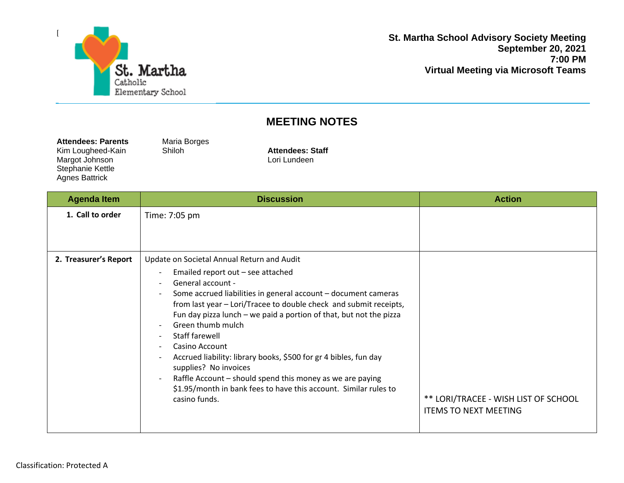

Agnes Battrick

**St. Martha School Advisory Society Meeting September 20, 2021 7:00 PM Virtual Meeting via Microsoft Teams**

## **MEETING NOTES**

| <b>Attendees: Parents</b> | Maria Borges |  |
|---------------------------|--------------|--|
| Kim Lougheed-Kain         | Shiloh       |  |
| Margot Johnson            |              |  |
| Stephanie Kettle          |              |  |

Attendees: Staff Lori Lundeen

| <b>Agenda Item</b>    | <b>Discussion</b>                                                                                                                                                                                                                                                                                                                                                                                                                                                                                                                                                                                                                                                                                                                                                       | <b>Action</b>                                                        |
|-----------------------|-------------------------------------------------------------------------------------------------------------------------------------------------------------------------------------------------------------------------------------------------------------------------------------------------------------------------------------------------------------------------------------------------------------------------------------------------------------------------------------------------------------------------------------------------------------------------------------------------------------------------------------------------------------------------------------------------------------------------------------------------------------------------|----------------------------------------------------------------------|
| 1. Call to order      | Time: 7:05 pm                                                                                                                                                                                                                                                                                                                                                                                                                                                                                                                                                                                                                                                                                                                                                           |                                                                      |
| 2. Treasurer's Report | Update on Societal Annual Return and Audit<br>Emailed report out - see attached<br>$\overline{\phantom{a}}$<br>General account -<br>$\overline{\phantom{a}}$<br>Some accrued liabilities in general account - document cameras<br>from last year - Lori/Tracee to double check and submit receipts,<br>Fun day pizza lunch $-$ we paid a portion of that, but not the pizza<br>Green thumb mulch<br>Staff farewell<br>$\overline{\phantom{a}}$<br>Casino Account<br>$\overline{\phantom{a}}$<br>Accrued liability: library books, \$500 for gr 4 bibles, fun day<br>supplies? No invoices<br>Raffle Account - should spend this money as we are paying<br>$\overline{\phantom{a}}$<br>\$1.95/month in bank fees to have this account. Similar rules to<br>casino funds. | ** LORI/TRACEE - WISH LIST OF SCHOOL<br><b>ITEMS TO NEXT MEETING</b> |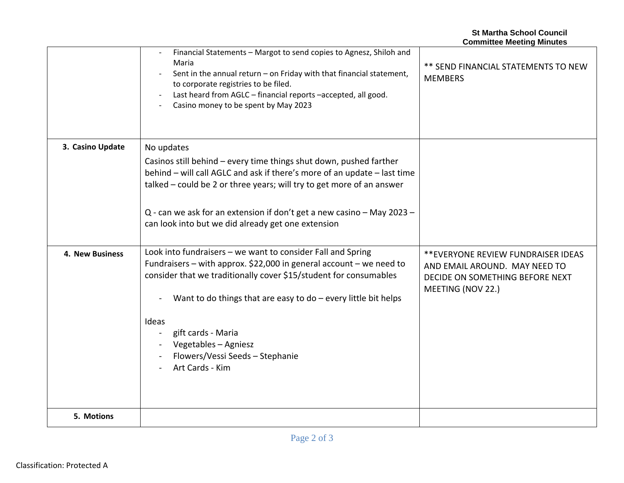|                        |                                                                                                                                                                                                                                                                                                                                                                                          | <b>Committee Meeting Minutes</b>                                                                                             |
|------------------------|------------------------------------------------------------------------------------------------------------------------------------------------------------------------------------------------------------------------------------------------------------------------------------------------------------------------------------------------------------------------------------------|------------------------------------------------------------------------------------------------------------------------------|
|                        | Financial Statements - Margot to send copies to Agnesz, Shiloh and<br>Maria<br>Sent in the annual return - on Friday with that financial statement,<br>to corporate registries to be filed.<br>Last heard from AGLC - financial reports -accepted, all good.<br>Casino money to be spent by May 2023                                                                                     | ** SEND FINANCIAL STATEMENTS TO NEW<br><b>MEMBERS</b>                                                                        |
| 3. Casino Update       | No updates<br>Casinos still behind - every time things shut down, pushed farther<br>behind - will call AGLC and ask if there's more of an update - last time<br>talked - could be 2 or three years; will try to get more of an answer<br>Q - can we ask for an extension if don't get a new casino - May 2023 -<br>can look into but we did already get one extension                    |                                                                                                                              |
| <b>4. New Business</b> | Look into fundraisers - we want to consider Fall and Spring<br>Fundraisers – with approx. \$22,000 in general account – we need to<br>consider that we traditionally cover \$15/student for consumables<br>Want to do things that are easy to do $-$ every little bit helps<br>Ideas<br>gift cards - Maria<br>Vegetables - Agniesz<br>Flowers/Vessi Seeds - Stephanie<br>Art Cards - Kim | ** EVERYONE REVIEW FUNDRAISER IDEAS<br>AND EMAIL AROUND. MAY NEED TO<br>DECIDE ON SOMETHING BEFORE NEXT<br>MEETING (NOV 22.) |
| 5. Motions             |                                                                                                                                                                                                                                                                                                                                                                                          |                                                                                                                              |

**St Martha School Council**